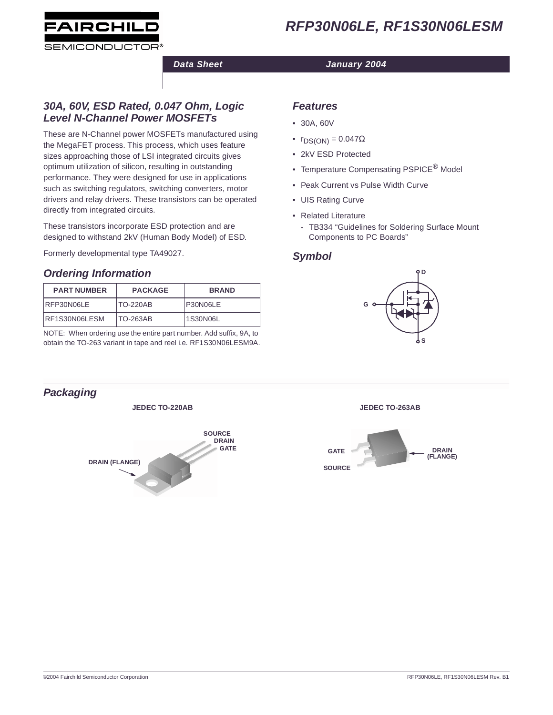



### **Data Sheet January 2004**

### **30A, 60V, ESD Rated, 0.047 Ohm, Logic Level N-Channel Power MOSFETs**

These are N-Channel power MOSFETs manufactured using the MegaFET process. This process, which uses feature sizes approaching those of LSI integrated circuits gives optimum utilization of silicon, resulting in outstanding performance. They were designed for use in applications such as switching regulators, switching converters, motor drivers and relay drivers. These transistors can be operated directly from integrated circuits.

These transistors incorporate ESD protection and are designed to withstand 2kV (Human Body Model) of ESD.

Formerly developmental type TA49027.

# **Ordering Information**

| <b>PART NUMBER</b> | <b>PACKAGE</b>  | <b>BRAND</b> |
|--------------------|-----------------|--------------|
| RFP30N06LE         | <b>TO-220AB</b> | P30N06LE     |
| RF1S30N06LESM      | TO-263AB        | 1S30N06L     |

NOTE: When ordering use the entire part number. Add suffix, 9A, to obtain the TO-263 variant in tape and reel i.e. RF1S30N06LESM9A.

### **Features**

- 30A, 60V
- $r_{DS(ON)} = 0.047\Omega$
- 2kV ESD Protected
- Temperature Compensating PSPICE<sup>®</sup> Model
- Peak Current vs Pulse Width Curve
- UIS Rating Curve
- Related Literature
	- TB334 "Guidelines for Soldering Surface Mount Components to PC Boards"

## **Symbol**



**JEDEC TO-220AB JEDEC TO-263AB**



# **Packaging**

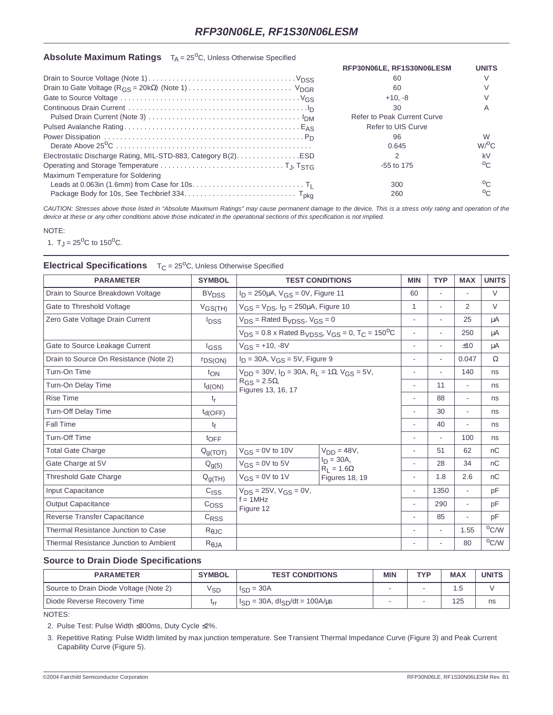#### **Absolute Maximum Ratings** T<sub>A</sub> = 25<sup>o</sup>C, Unless Otherwise Specified

|                                                               | RFP30N06LE, RF1S30N06LESM   | <b>UNITS</b>            |
|---------------------------------------------------------------|-----------------------------|-------------------------|
|                                                               | 60                          |                         |
|                                                               | 60                          |                         |
|                                                               | $+10. -8$                   |                         |
|                                                               | 30                          |                         |
|                                                               | Refer to Peak Current Curve |                         |
|                                                               | Refer to UIS Curve          |                         |
|                                                               | 96<br>0.645                 | W<br>$W$ <sup>O</sup> C |
| Electrostatic Discharge Rating, MIL-STD-883, Category B(2)ESD |                             | kV                      |
|                                                               | $-55$ to 175                | $^{0}$ C                |
| Maximum Temperature for Soldering                             |                             |                         |
|                                                               | 300                         | $0\cap$                 |
|                                                               | 260                         | $\circ$                 |

CAUTION: Stresses above those listed in "Absolute Maximum Ratings" may cause permanent damage to the device. This is a stress only rating and operation of the device at these or any other conditions above those indicated in the operational sections of this specification is not implied.

#### NOTE:

1.  $T_J = 25^{\circ}C$  to 150<sup>o</sup>C.

#### **Electrical Specifications** T<sub>C</sub> = 25<sup>o</sup>C, Unless Otherwise Specified

| <b>PARAMETER</b>                       | <b>SYMBOL</b>             | <b>TEST CONDITIONS</b>                                                                                                         |                                   | <b>MIN</b>               | <b>TYP</b>               | <b>MAX</b>               | <b>UNITS</b>   |
|----------------------------------------|---------------------------|--------------------------------------------------------------------------------------------------------------------------------|-----------------------------------|--------------------------|--------------------------|--------------------------|----------------|
| Drain to Source Breakdown Voltage      | <b>BV<sub>DSS</sub></b>   | $I_D = 250 \mu A$ , $V_{GS} = 0V$ , Figure 11                                                                                  |                                   | 60                       |                          |                          | V              |
| Gate to Threshold Voltage              | $V$ GS(TH)                | $V_{GS} = V_{DS}$ , $I_D = 250 \mu A$ , Figure 10                                                                              |                                   | $\mathbf{1}$             | ä,                       | 2                        | V              |
| Zero Gate Voltage Drain Current        | <sup>l</sup> DSS          | $V_{DS}$ = Rated B <sub>VDSS</sub> , $V_{GS}$ = 0                                                                              |                                   | $\overline{\phantom{a}}$ |                          | 25                       | μA             |
|                                        |                           | $V_{DS}$ = 0.8 x Rated B <sub>VDSS</sub> , $V_{GS}$ = 0, T <sub>C</sub> = 150 <sup>o</sup> C                                   |                                   | ä,                       | $\sim$                   | 250                      | $\mu A$        |
| Gate to Source Leakage Current         | <b>IGSS</b>               | $V_{GS}$ = +10, -8V                                                                                                            |                                   | $\overline{\phantom{a}}$ | $\sim$                   | ±10                      | μA             |
| Drain to Source On Resistance (Note 2) | <b><i>IDS(ON)</i></b>     | $I_D = 30A$ , $V_{GS} = 5V$ , Figure 9                                                                                         |                                   | ä,                       | $\overline{\phantom{a}}$ | 0.047                    | $\Omega$       |
| Turn-On Time                           | $t_{ON}$                  | $V_{DD}$ = 30V, $I_D$ = 30A, R <sub>I</sub> = 1 $\Omega$ , V <sub>GS</sub> = 5V,<br>$R_{GS} = 2.5\Omega$<br>Figures 13, 16, 17 |                                   | ۰                        |                          | 140                      | ns             |
| Turn-On Delay Time                     | $t_{\text{d}(\text{ON})}$ |                                                                                                                                |                                   | $\overline{\phantom{a}}$ | 11                       | $\overline{\phantom{a}}$ | ns             |
| <b>Rise Time</b>                       | t <sub>r</sub>            |                                                                                                                                |                                   |                          | 88                       | $\overline{\phantom{a}}$ | ns             |
| Turn-Off Delay Time                    | $t_{d(OFF)}$              |                                                                                                                                |                                   | ä,                       | 30                       | $\overline{\phantom{a}}$ | ns             |
| Fall Time                              | tf                        |                                                                                                                                |                                   | ä,                       | 40                       | $\overline{\phantom{a}}$ | ns             |
| <b>Turn-Off Time</b>                   | toFF                      |                                                                                                                                |                                   | $\overline{\phantom{a}}$ | $\overline{\phantom{a}}$ | 100                      | ns             |
| <b>Total Gate Charge</b>               | Q <sub>g(TOT)</sub>       | $V_{GS} = 0V$ to 10V                                                                                                           | $VDD = 48V,$                      | ä,                       | 51                       | 62                       | nC             |
| Gate Charge at 5V                      | $Q_{g(5)}$                | $V_{GS} = 0V$ to 5V                                                                                                            | $I_D = 30A,$<br>$R_1 = 1.6\Omega$ | ä,                       | 28                       | 34                       | nC             |
| <b>Threshold Gate Charge</b>           | $Q_{g(TH)}$               | $V_{GS} = 0V$ to 1V                                                                                                            | <b>Figures 18, 19</b>             | ä,                       | 1.8                      | 2.6                      | nC             |
| Input Capacitance                      | C <sub>ISS</sub>          | $V_{DS} = 25V$ , $V_{GS} = 0V$ ,<br>$f = 1$ MHz<br>Figure 12                                                                   |                                   | $\overline{\phantom{a}}$ | 1350                     | $\overline{\phantom{a}}$ | pF             |
| <b>Output Capacitance</b>              | C <sub>OSS</sub>          |                                                                                                                                |                                   | $\overline{\phantom{a}}$ | 290                      | $\overline{\phantom{a}}$ | pF             |
| Reverse Transfer Capacitance           | C <sub>RSS</sub>          |                                                                                                                                |                                   | ä,                       | 85                       | ÷.                       | pF             |
| Thermal Resistance Junction to Case    | $R_{\theta$ JC            |                                                                                                                                |                                   | ä,                       | ٠                        | 1.55                     | $^{\circ}$ C/W |
| Thermal Resistance Junction to Ambient | $R_{\theta$ JA            |                                                                                                                                |                                   | $\overline{\phantom{a}}$ | $\sim$                   | 80                       | $^{\circ}$ C/W |

#### **Source to Drain Diode Specifications**

| <b>PARAMETER</b>                       | <b>SYMBOL</b> | <b>TEST CONDITIONS</b>                          | <b>MIN</b> | <b>TYP</b> | <b>MAX</b> | <b>UNITS</b> |
|----------------------------------------|---------------|-------------------------------------------------|------------|------------|------------|--------------|
| Source to Drain Diode Voltage (Note 2) | √sɒ           | $I_{SD} = 30A$                                  |            |            | 1.5        |              |
| Diode Reverse Recovery Time            |               | $I_{SD} = 30A$ , dl <sub>SD</sub> /dt = 100A/us |            |            | 125        | ns           |

NOTES:

2. Pulse Test: Pulse Width ≤ 300ms, Duty Cycle ≤ 2%.

3. Repetitive Rating: Pulse Width limited by max junction temperature. See Transient Thermal Impedance Curve (Figure 3) and Peak Current Capability Curve (Figure 5).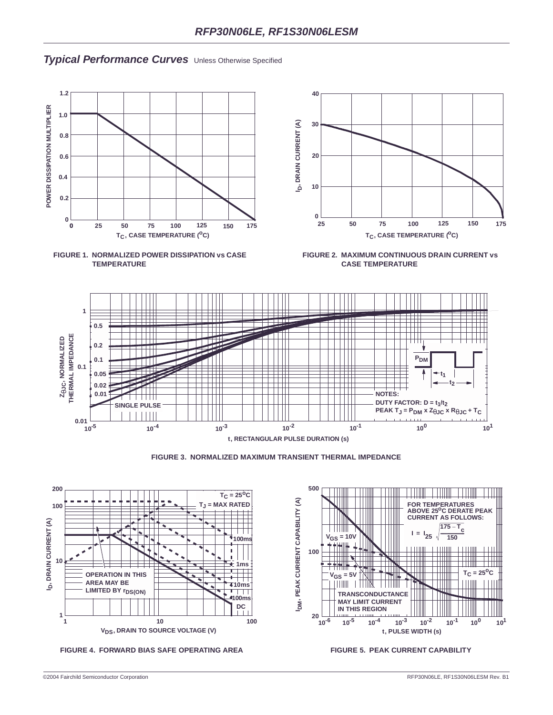## **Typical Performance Curves** Unless Otherwise Specified







**FIGURE 2. MAXIMUM CONTINUOUS DRAIN CURRENT vs CASE TEMPERATURE**









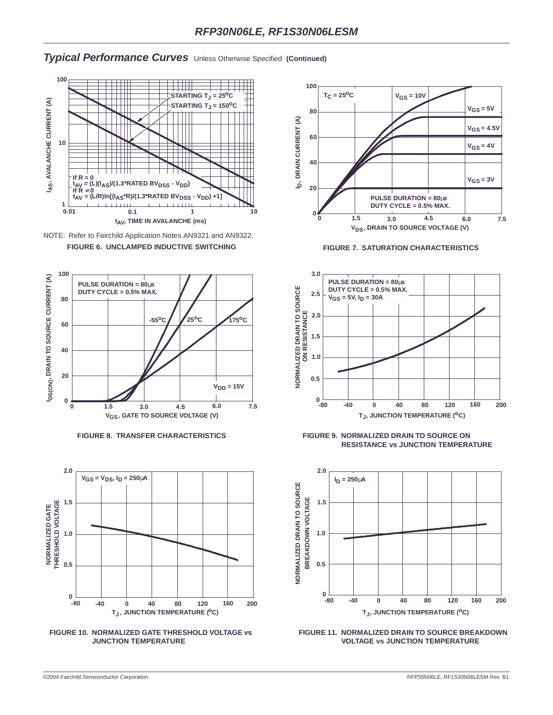### **Typical Performance Curves** Unless Otherwise Specified **(Continued)**





**FIGURE 6. UNCLAMPED INDUCTIVE SWITCHING FIGURE 7. SATURATION CHARACTERISTICS**













**FIGURE 8. TRANSFER CHARACTERISTICS FIGURE 9. NORMALIZED DRAIN TO SOURCE ON RESISTANCE vs JUNCTION TEMPERATURE**



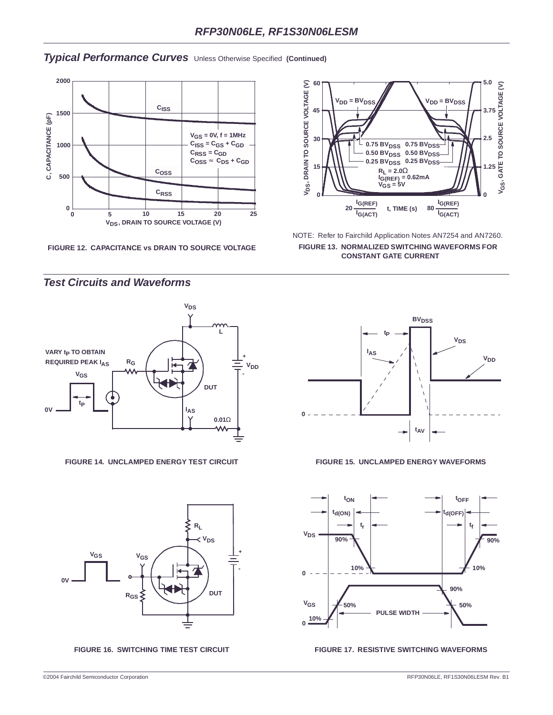## **Typical Performance Curves** Unless Otherwise Specified **(Continued)**



**FIGURE 12. CAPACITANCE vs DRAIN TO SOURCE VOLTAGE**



NOTE: Refer to Fairchild Application Notes AN7254 and AN7260. **FIGURE 13. NORMALIZED SWITCHING WAVEFORMS FOR CONSTANT GATE CURRENT**



#### **FIGURE 14. UNCLAMPED ENERGY TEST CIRCUIT FIGURE 15. UNCLAMPED ENERGY WAVEFORMS**



#### FIGURE 16. SWITCHING TIME TEST CIRCUIT **FIGURE 17. RESISTIVE SWITCHING WAVEFORMS**

# **Test Circuits and Waveforms**



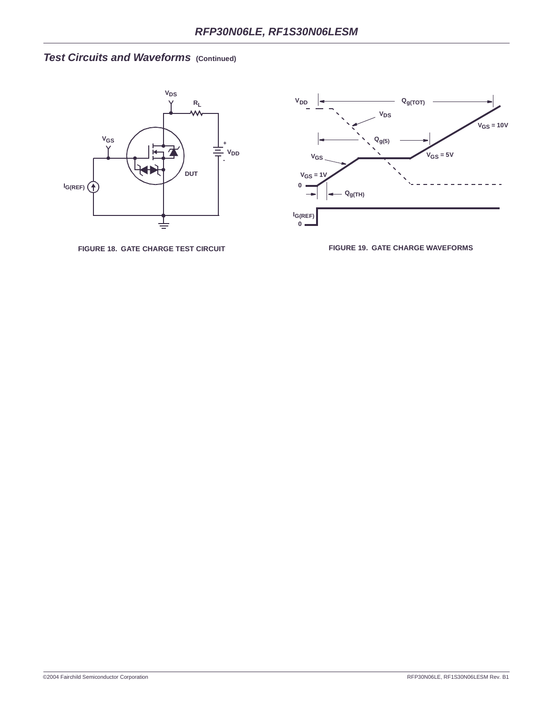# **Test Circuits and Waveforms (Continued)**



**FIGURE 18. GATE CHARGE TEST CIRCUIT FIGURE 19. GATE CHARGE WAVEFORMS**

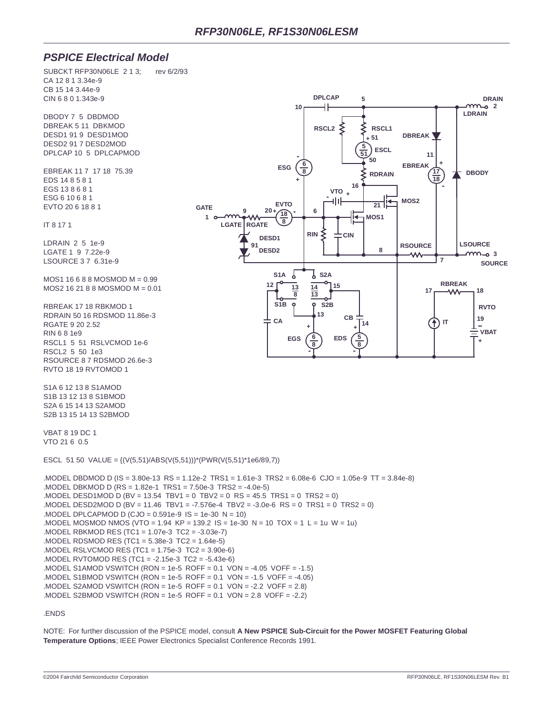### **PSPICE Electrical Model**

SUBCKT RFP30N06LE 2 1 3: rev 6/2/93 CA 12 8 1 3.34e-9 CB 15 14 3.44e-9 CIN 6 8 0 1.343e-9

DBODY 7 5 DBDMOD DBREAK 5 11 DBKMOD DESD1 91 9 DESD1MOD DESD2 91 7 DESD2MOD DPLCAP 10 5 DPLCAPMOD

EBREAK 11 7 17 18 75.39 EDS 14 8 5 8 1 EGS 13 8 6 8 1 ESG 6 10 6 8 1 EVTO 20 6 18 8 1

IT 8 17 1

LDRAIN 2 5 1e-9 LGATE 1 9 7.22e-9 LSOURCE 3 7 6.31e-9

MOS1 16 6 8 8 MOSMOD M = 0.99 MOS2 16 21 8 8 MOSMOD M = 0.01

RBREAK 17 18 RBKMOD 1 RDRAIN 50 16 RDSMOD 11.86e-3 RGATE 9 20 2.52 RIN 6 8 1e9 RSCL1 5 51 RSLVCMOD 1e-6 RSCL2 5 50 1e3 RSOURCE 8 7 RDSMOD 26.6e-3 RVTO 18 19 RVTOMOD 1

S1A 6 12 13 8 S1AMOD S1B 13 12 13 8 S1BMOD S2A 6 15 14 13 S2AMOD S2B 13 15 14 13 S2BMOD

VBAT 8 19 DC 1 VTO 21 6 0.5

ESCL 51 50 VALUE =  $\{ (V(5,51)/ABS(V(5,51)))^*(PWR(V(5,51)^*1e6/89,7))$ 

.MODEL DBDMOD D (IS = 3.80e-13 RS = 1.12e-2 TRS1 = 1.61e-3 TRS2 = 6.08e-6 CJO = 1.05e-9 TT = 3.84e-8) .MODEL DBKMOD D (RS = 1.82e-1 TRS1 = 7.50e-3 TRS2 = -4.0e-5) .MODEL DESD1MOD D (BV = 13.54 TBV1 = 0 TBV2 = 0 RS = 45.5 TRS1 = 0 TRS2 = 0) .MODEL DESD2MOD D (BV = 11.46 TBV1 = -7.576e-4 TBV2 = -3.0e-6 RS = 0 TRS1 = 0 TRS2 = 0) .MODEL DPLCAPMOD D (CJO =  $0.591e-9$  IS =  $1e-30$  N =  $10$ ) .MODEL MOSMOD NMOS (VTO = 1.94 KP = 139.2 IS = 1e-30 N = 10 TOX = 1 L = 1u W = 1u) .MODEL RBKMOD RES (TC1 = 1.07e-3 TC2 = -3.03e-7) .MODEL RDSMOD RES (TC1 = 5.38e-3 TC2 = 1.64e-5) .MODEL RSLVCMOD RES (TC1 = 1.75e-3 TC2 = 3.90e-6) .MODEL RVTOMOD RES (TC1 = -2.15e-3 TC2 = -5.43e-6) .MODEL S1AMOD VSWITCH (RON = 1e-5 ROFF = 0.1 VON = -4.05 VOFF = -1.5) .MODEL S1BMOD VSWITCH (RON = 1e-5 ROFF =  $0.1$  VON =  $-1.5$  VOFF =  $-4.05$ ) .MODEL S2AMOD VSWITCH (RON = 1e-5 ROFF =  $0.1$  VON = -2.2 VOFF =  $2.8$ ) .MODEL S2BMOD VSWITCH (RON = 1e-5 ROFF = 0.1 VON = 2.8 VOFF = -2.2)

#### .ENDS

NOTE: For further discussion of the PSPICE model, consult **A New PSPICE Sub-Circuit for the Power MOSFET Featuring Global Temperature Options**; IEEE Power Electronics Specialist Conference Records 1991.